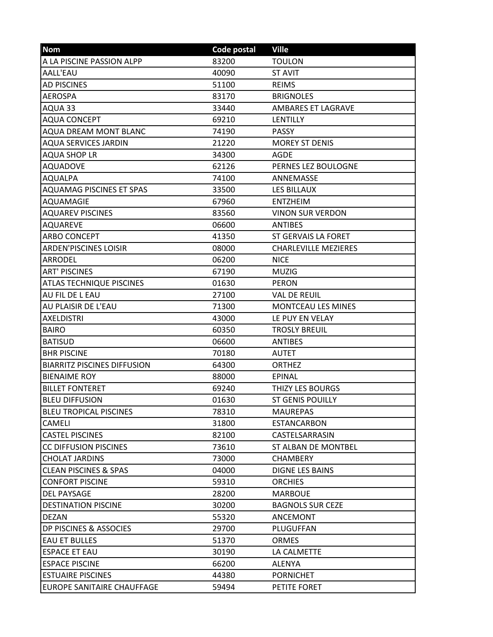| <b>Nom</b>                         | Code postal | <b>Ville</b>                |
|------------------------------------|-------------|-----------------------------|
| A LA PISCINE PASSION ALPP          | 83200       | <b>TOULON</b>               |
| AALL'EAU                           | 40090       | <b>ST AVIT</b>              |
| <b>AD PISCINES</b>                 | 51100       | <b>REIMS</b>                |
| <b>AEROSPA</b>                     | 83170       | <b>BRIGNOLES</b>            |
| AQUA 33                            | 33440       | AMBARES ET LAGRAVE          |
| <b>AQUA CONCEPT</b>                | 69210       | LENTILLY                    |
| <b>AQUA DREAM MONT BLANC</b>       | 74190       | <b>PASSY</b>                |
| <b>AQUA SERVICES JARDIN</b>        | 21220       | <b>MOREY ST DENIS</b>       |
| <b>AQUA SHOP LR</b>                | 34300       | <b>AGDE</b>                 |
| <b>AQUADOVE</b>                    | 62126       | PERNES LEZ BOULOGNE         |
| <b>AQUALPA</b>                     | 74100       | ANNEMASSE                   |
| <b>AQUAMAG PISCINES ET SPAS</b>    | 33500       | <b>LES BILLAUX</b>          |
| <b>AQUAMAGIE</b>                   | 67960       | <b>ENTZHEIM</b>             |
| <b>AQUAREV PISCINES</b>            | 83560       | <b>VINON SUR VERDON</b>     |
| <b>AQUAREVE</b>                    | 06600       | <b>ANTIBES</b>              |
| <b>ARBO CONCEPT</b>                | 41350       | ST GERVAIS LA FORET         |
| <b>ARDEN'PISCINES LOISIR</b>       | 08000       | <b>CHARLEVILLE MEZIERES</b> |
| ARRODEL                            | 06200       | <b>NICE</b>                 |
| <b>ART' PISCINES</b>               | 67190       | <b>MUZIG</b>                |
| <b>ATLAS TECHNIQUE PISCINES</b>    | 01630       | <b>PERON</b>                |
| <b>AU FIL DE L EAU</b>             | 27100       | <b>VAL DE REUIL</b>         |
| AU PLAISIR DE L'EAU                | 71300       | MONTCEAU LES MINES          |
| <b>AXELDISTRI</b>                  | 43000       | LE PUY EN VELAY             |
| <b>BAIRO</b>                       | 60350       | <b>TROSLY BREUIL</b>        |
| <b>BATISUD</b>                     | 06600       | <b>ANTIBES</b>              |
| <b>BHR PISCINE</b>                 | 70180       | <b>AUTET</b>                |
| <b>BIARRITZ PISCINES DIFFUSION</b> | 64300       | <b>ORTHEZ</b>               |
| <b>BIENAIME ROY</b>                | 88000       | EPINAL                      |
| <b>BILLET FONTERET</b>             | 69240       | THIZY LES BOURGS            |
| <b>BLEU DIFFUSION</b>              | 01630       | <b>ST GENIS POUILLY</b>     |
| <b>BLEU TROPICAL PISCINES</b>      | 78310       | <b>MAUREPAS</b>             |
| <b>CAMELI</b>                      | 31800       | <b>ESTANCARBON</b>          |
| <b>CASTEL PISCINES</b>             | 82100       | CASTELSARRASIN              |
| <b>CC DIFFUSION PISCINES</b>       | 73610       | ST ALBAN DE MONTBEL         |
| <b>CHOLAT JARDINS</b>              | 73000       | <b>CHAMBERY</b>             |
| <b>CLEAN PISCINES &amp; SPAS</b>   | 04000       | <b>DIGNE LES BAINS</b>      |
| <b>CONFORT PISCINE</b>             | 59310       | <b>ORCHIES</b>              |
| <b>DEL PAYSAGE</b>                 | 28200       | <b>MARBOUE</b>              |
| <b>DESTINATION PISCINE</b>         | 30200       | <b>BAGNOLS SUR CEZE</b>     |
| DEZAN                              | 55320       | ANCEMONT                    |
| DP PISCINES & ASSOCIES             | 29700       | PLUGUFFAN                   |
| <b>EAU ET BULLES</b>               | 51370       | <b>ORMES</b>                |
| <b>ESPACE ET EAU</b>               | 30190       | LA CALMETTE                 |
| <b>ESPACE PISCINE</b>              | 66200       | <b>ALENYA</b>               |
| <b>ESTUAIRE PISCINES</b>           | 44380       | <b>PORNICHET</b>            |
| EUROPE SANITAIRE CHAUFFAGE         | 59494       | PETITE FORET                |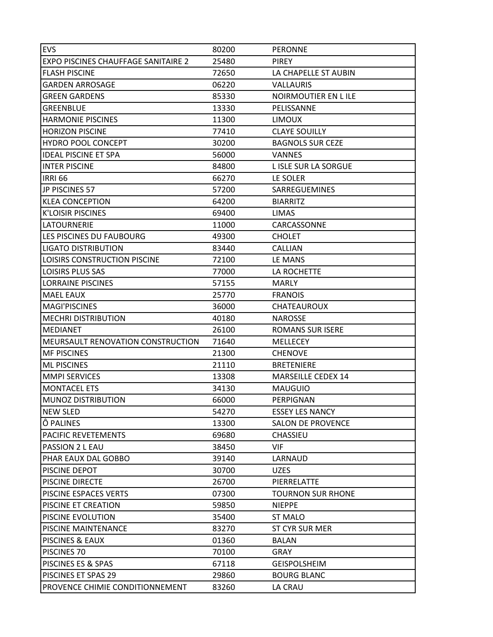| EVS                                        | 80200 | <b>PERONNE</b>           |
|--------------------------------------------|-------|--------------------------|
| <b>EXPO PISCINES CHAUFFAGE SANITAIRE 2</b> | 25480 | <b>PIREY</b>             |
| <b>FLASH PISCINE</b>                       | 72650 | LA CHAPELLE ST AUBIN     |
| <b>GARDEN ARROSAGE</b>                     | 06220 | <b>VALLAURIS</b>         |
| <b>GREEN GARDENS</b>                       | 85330 | NOIRMOUTIER EN LILE      |
| <b>GREENBLUE</b>                           | 13330 | PELISSANNE               |
| <b>HARMONIE PISCINES</b>                   | 11300 | <b>LIMOUX</b>            |
| <b>HORIZON PISCINE</b>                     | 77410 | <b>CLAYE SOUILLY</b>     |
| <b>HYDRO POOL CONCEPT</b>                  | 30200 | <b>BAGNOLS SUR CEZE</b>  |
| <b>IDEAL PISCINE ET SPA</b>                | 56000 | <b>VANNES</b>            |
| <b>INTER PISCINE</b>                       | 84800 | L ISLE SUR LA SORGUE     |
| <b>IRRI 66</b>                             | 66270 | LE SOLER                 |
| JP PISCINES 57                             | 57200 | SARREGUEMINES            |
| <b>KLEA CONCEPTION</b>                     | 64200 | <b>BIARRITZ</b>          |
| <b>K'LOISIR PISCINES</b>                   | 69400 | <b>LIMAS</b>             |
| <b>LATOURNERIE</b>                         | 11000 | CARCASSONNE              |
| LES PISCINES DU FAUBOURG                   | 49300 | <b>CHOLET</b>            |
| <b>LIGATO DISTRIBUTION</b>                 | 83440 | <b>CALLIAN</b>           |
| LOISIRS CONSTRUCTION PISCINE               | 72100 | LE MANS                  |
| <b>LOISIRS PLUS SAS</b>                    | 77000 | LA ROCHETTE              |
| <b>LORRAINE PISCINES</b>                   | 57155 | <b>MARLY</b>             |
| <b>MAEL EAUX</b>                           | 25770 | <b>FRANOIS</b>           |
| <b>MAGI'PISCINES</b>                       | 36000 | CHATEAUROUX              |
| <b>MECHRI DISTRIBUTION</b>                 | 40180 | <b>NAROSSE</b>           |
| <b>IMEDIANET</b>                           | 26100 | <b>ROMANS SUR ISERE</b>  |
| MEURSAULT RENOVATION CONSTRUCTION          | 71640 | MELLECEY                 |
| <b>MF PISCINES</b>                         | 21300 | <b>CHENOVE</b>           |
| <b>ML PISCINES</b>                         | 21110 | <b>BRETENIERE</b>        |
| <b>MMPI SERVICES</b>                       | 13308 | MARSEILLE CEDEX 14       |
| <b>MONTACEL ETS</b>                        | 34130 | <b>MAUGUIO</b>           |
| <b>MUNOZ DISTRIBUTION</b>                  | 66000 | PERPIGNAN                |
| <b>NEW SLED</b>                            | 54270 | <b>ESSEY LES NANCY</b>   |
| Ô PALINES                                  | 13300 | <b>SALON DE PROVENCE</b> |
| PACIFIC REVETEMENTS                        | 69680 | CHASSIEU                 |
| PASSION 2 L EAU                            | 38450 | <b>VIF</b>               |
| PHAR EAUX DAL GOBBO                        | 39140 | LARNAUD                  |
| PISCINE DEPOT                              | 30700 | <b>UZES</b>              |
| <b>PISCINE DIRECTE</b>                     | 26700 | PIERRELATTE              |
| PISCINE ESPACES VERTS                      | 07300 | <b>TOURNON SUR RHONE</b> |
| PISCINE ET CREATION                        | 59850 | <b>NIEPPE</b>            |
| PISCINE EVOLUTION                          | 35400 | <b>ST MALO</b>           |
| PISCINE MAINTENANCE                        | 83270 | ST CYR SUR MER           |
| PISCINES & EAUX                            | 01360 | <b>BALAN</b>             |
| PISCINES 70                                | 70100 | <b>GRAY</b>              |
| PISCINES ES & SPAS                         | 67118 | <b>GEISPOLSHEIM</b>      |
| PISCINES ET SPAS 29                        | 29860 | <b>BOURG BLANC</b>       |
| PROVENCE CHIMIE CONDITIONNEMENT            | 83260 | LA CRAU                  |